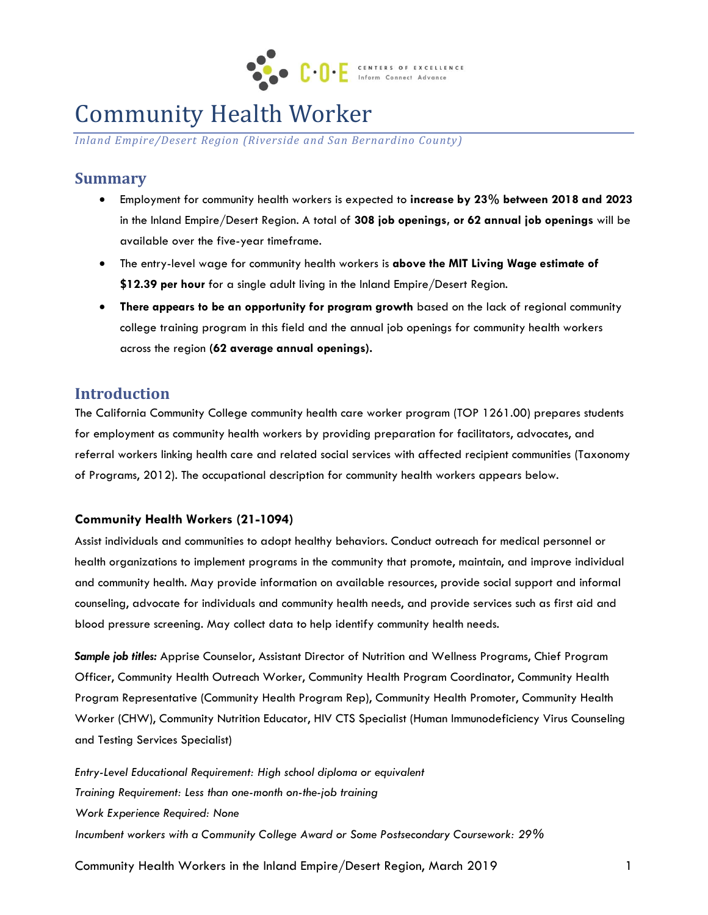

# Community Health Worker

*Inland Empire/Desert Region (Riverside and San Bernardino County)*

## **Summary**

- Employment for community health workers is expected to **increase by 23% between 2018 and 2023** in the Inland Empire/Desert Region. A total of **308 job openings, or 62 annual job openings** will be available over the five-year timeframe.
- The entry-level wage for community health workers is **above the MIT Living Wage estimate of \$12.39 per hour** for a single adult living in the Inland Empire/Desert Region.
- **There appears to be an opportunity for program growth** based on the lack of regional community college training program in this field and the annual job openings for community health workers across the region **(62 average annual openings).**

## **Introduction**

The California Community College community health care worker program (TOP 1261.00) prepares students for employment as community health workers by providing preparation for facilitators, advocates, and referral workers linking health care and related social services with affected recipient communities (Taxonomy of Programs, 2012). The occupational description for community health workers appears below.

#### **Community Health Workers (21-1094)**

Assist individuals and communities to adopt healthy behaviors. Conduct outreach for medical personnel or health organizations to implement programs in the community that promote, maintain, and improve individual and community health. May provide information on available resources, provide social support and informal counseling, advocate for individuals and community health needs, and provide services such as first aid and blood pressure screening. May collect data to help identify community health needs.

*Sample job titles:* Apprise Counselor, Assistant Director of Nutrition and Wellness Programs, Chief Program Officer, Community Health Outreach Worker, Community Health Program Coordinator, Community Health Program Representative (Community Health Program Rep), Community Health Promoter, Community Health Worker (CHW), Community Nutrition Educator, HIV CTS Specialist (Human Immunodeficiency Virus Counseling and Testing Services Specialist)

*Entry-Level Educational Requirement: High school diploma or equivalent Training Requirement: Less than one-month on-the-job training Work Experience Required: None Incumbent workers with a Community College Award or Some Postsecondary Coursework: 29%*

Community Health Workers in the Inland Empire/Desert Region, March 2019 1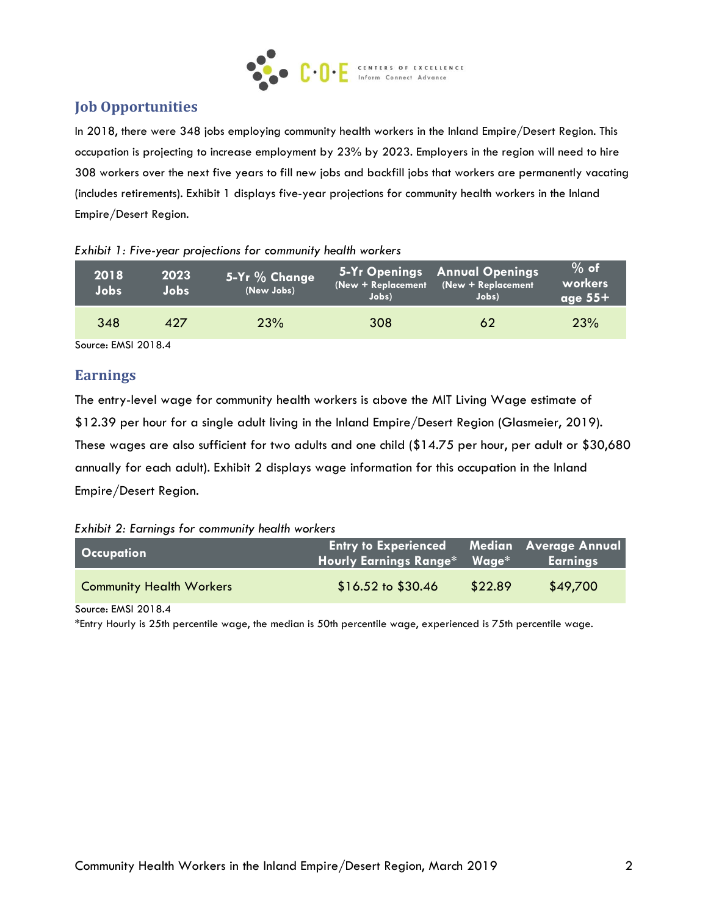

## **Job Opportunities**

In 2018, there were 348 jobs employing community health workers in the Inland Empire/Desert Region. This occupation is projecting to increase employment by 23% by 2023. Employers in the region will need to hire 308 workers over the next five years to fill new jobs and backfill jobs that workers are permanently vacating (includes retirements). Exhibit 1 displays five-year projections for community health workers in the Inland Empire/Desert Region.

| 2018<br>Jobs. | 2023<br>Jobs | 5-Yr % Change<br>(New Jobs) | (New + Replacement<br>Jobs) | 5-Yr Openings Annual Openings<br>(New + Replacement<br>Jobs) | $%$ of<br>workers<br>$\sqrt{age 55+}$ |
|---------------|--------------|-----------------------------|-----------------------------|--------------------------------------------------------------|---------------------------------------|
| 348           | 427          | 23%                         | 308                         | 62                                                           | <b>23%</b>                            |

#### *Exhibit 1: Five-year projections for community health workers*

Source: EMSI 2018.4

### **Earnings**

The entry-level wage for community health workers is above the MIT Living Wage estimate of \$12.39 per hour for a single adult living in the Inland Empire/Desert Region (Glasmeier, 2019). These wages are also sufficient for two adults and one child (\$14.75 per hour, per adult or \$30,680 annually for each adult). Exhibit 2 displays wage information for this occupation in the Inland Empire/Desert Region.

*Exhibit 2: Earnings for community health workers*

| <b>Occupation</b>               | <b>Entry to Experienced Median Average Annual</b><br>Hourly Earnings Range* Wage* |         | <b>Earnings</b> |
|---------------------------------|-----------------------------------------------------------------------------------|---------|-----------------|
| <b>Community Health Workers</b> | $$16.52 \text{ to } $30.46$                                                       | \$22.89 | \$49,700        |

Source: EMSI 2018.4

\*Entry Hourly is 25th percentile wage, the median is 50th percentile wage, experienced is 75th percentile wage.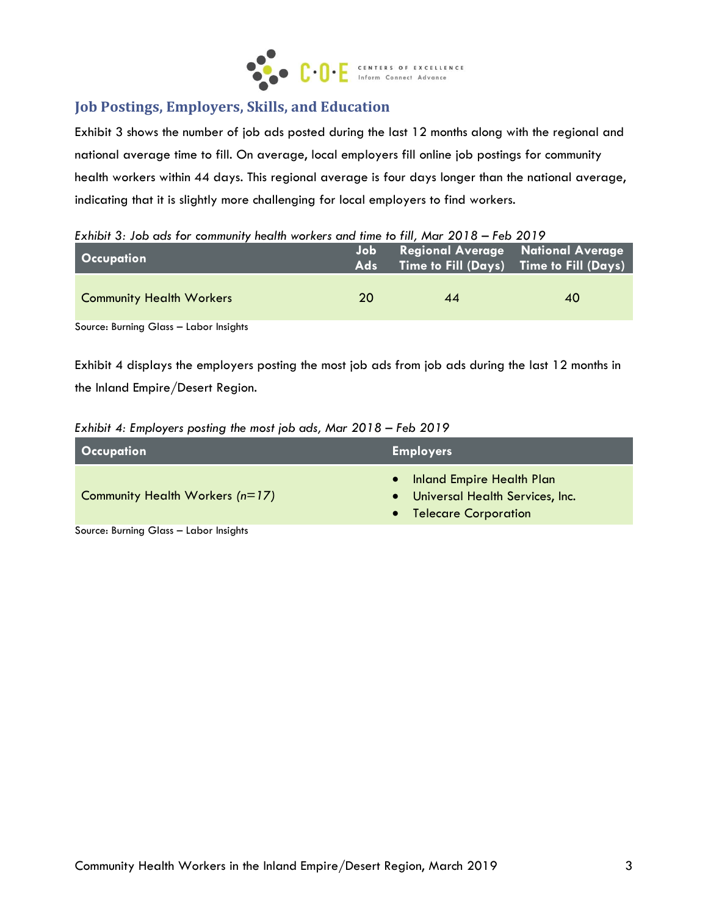

## **Job Postings, Employers, Skills, and Education**

Exhibit 3 shows the number of job ads posted during the last 12 months along with the regional and national average time to fill. On average, local employers fill online job postings for community health workers within 44 days. This regional average is four days longer than the national average, indicating that it is slightly more challenging for local employers to find workers.

*Exhibit 3: Job ads for community health workers and time to fill, Mar 2018 – Feb 2019*

| <b>Occupation</b>               | Job .<br>Ads <b>Add</b> | <b>Regional Average</b> National Average | $\sqrt{1}$ Time to Fill $(Days)$ Time to Fill $(Days)$ |
|---------------------------------|-------------------------|------------------------------------------|--------------------------------------------------------|
| <b>Community Health Workers</b> | 20                      | 44                                       | 40                                                     |
|                                 |                         |                                          |                                                        |

Source: Burning Glass – Labor Insights

Exhibit 4 displays the employers posting the most job ads from job ads during the last 12 months in the Inland Empire/Desert Region.

| Exhibit 4: Employers posting the most job ads, Mar 2018 – Feb 2019 |  |  |  |
|--------------------------------------------------------------------|--|--|--|
|                                                                    |  |  |  |

| <b>Occupation</b>                      | <b>Employers</b>                                                                                    |
|----------------------------------------|-----------------------------------------------------------------------------------------------------|
| Community Health Workers (n=17)        | Inland Empire Health Plan<br>$\bullet$<br>Universal Health Services, Inc.<br>• Telecare Corporation |
| Source: Burning Glass - Labor Insights |                                                                                                     |

Source: Burning Glass – Labor Insights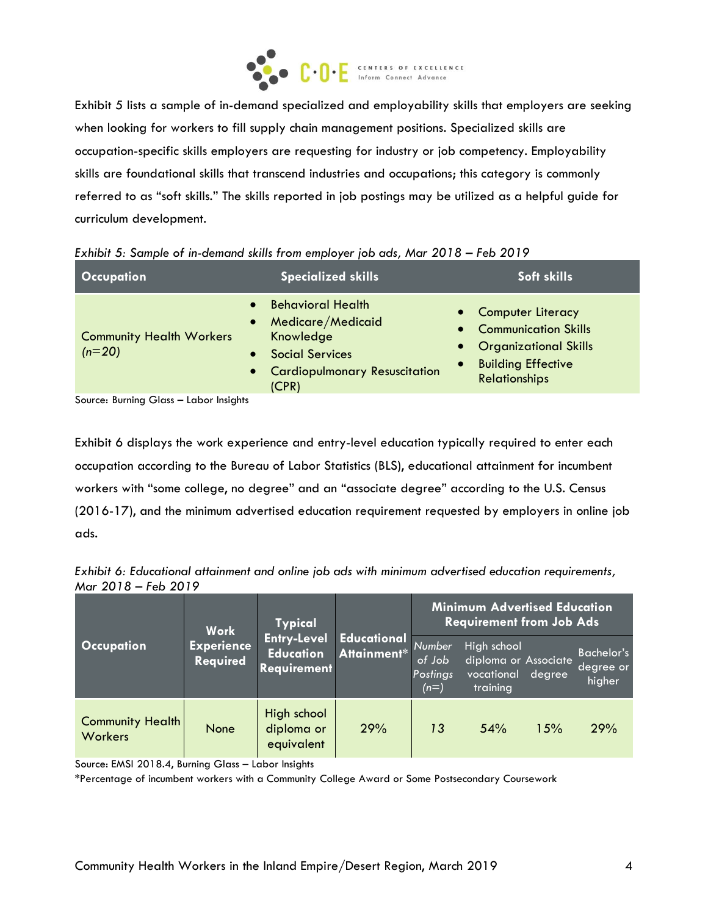

Exhibit 5 lists a sample of in-demand specialized and employability skills that employers are seeking when looking for workers to fill supply chain management positions. Specialized skills are occupation-specific skills employers are requesting for industry or job competency. Employability skills are foundational skills that transcend industries and occupations; this category is commonly referred to as "soft skills." The skills reported in job postings may be utilized as a helpful guide for curriculum development.

| <b>Occupation</b>                           | <b>Specialized skills</b>                                                                                                                                               | Soft skills                                                                                                                                |  |
|---------------------------------------------|-------------------------------------------------------------------------------------------------------------------------------------------------------------------------|--------------------------------------------------------------------------------------------------------------------------------------------|--|
| <b>Community Health Workers</b><br>$(n=20)$ | <b>Behavioral Health</b><br>$\bullet$<br>Medicare/Medicaid<br>$\bullet$<br>Knowledge<br><b>Social Services</b><br>$\bullet$<br>• Cardiopulmonary Resuscitation<br>(CPR) | • Computer Literacy<br>• Communication Skills<br>• Organizational Skills<br><b>Building Effective</b><br>$\bullet$<br><b>Relationships</b> |  |

Source: Burning Glass – Labor Insights

Exhibit 6 displays the work experience and entry-level education typically required to enter each occupation according to the Bureau of Labor Statistics (BLS), educational attainment for incumbent workers with "some college, no degree" and an "associate degree" according to the U.S. Census (2016-17), and the minimum advertised education requirement requested by employers in online job ads.

*Exhibit 6: Educational attainment and online job ads with minimum advertised education requirements, Mar 2018 – Feb 2019*

|                                           | <b>Work</b>                   | <b>Typical</b><br><b>Entry-Level</b><br><b>Education</b><br><b>Requirement</b> | <b>Educational</b><br>Attainment* Number | <b>Minimum Advertised Education</b><br><b>Requirement from Job Ads</b> |                                                               |        |                                          |
|-------------------------------------------|-------------------------------|--------------------------------------------------------------------------------|------------------------------------------|------------------------------------------------------------------------|---------------------------------------------------------------|--------|------------------------------------------|
| <b>Occupation</b>                         | <b>Experience</b><br>Required |                                                                                |                                          | of Job<br>Postings<br>$(n=)$                                           | High school<br>diploma or Associate<br>vocational<br>training | degree | <b>Bachelor's</b><br>degree or<br>higher |
| <b>Community Health</b><br><b>Workers</b> | None                          | High school<br>diploma or<br>equivalent                                        | 29%                                      | 13                                                                     | 54%                                                           | 15%    | 29%                                      |

Source: EMSI 2018.4, Burning Glass – Labor Insights

\*Percentage of incumbent workers with a Community College Award or Some Postsecondary Coursework)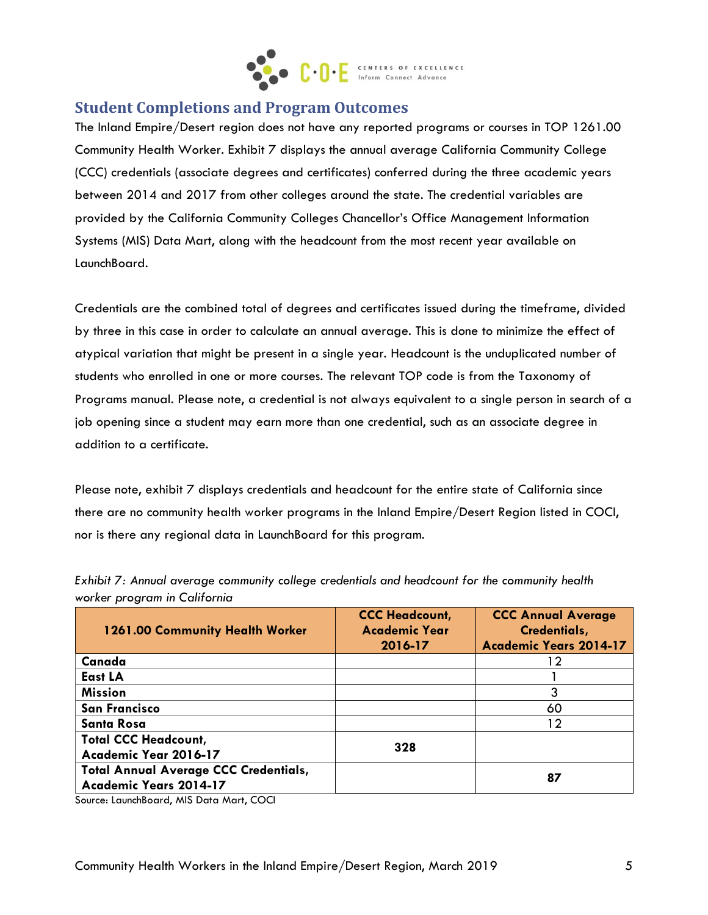

## **Student Completions and Program Outcomes**

The Inland Empire/Desert region does not have any reported programs or courses in TOP 1261.00 Community Health Worker. Exhibit 7 displays the annual average California Community College (CCC) credentials (associate degrees and certificates) conferred during the three academic years between 2014 and 2017 from other colleges around the state. The credential variables are provided by the California Community Colleges Chancellor's Office Management Information Systems (MIS) Data Mart, along with the headcount from the most recent year available on LaunchBoard.

Credentials are the combined total of degrees and certificates issued during the timeframe, divided by three in this case in order to calculate an annual average. This is done to minimize the effect of atypical variation that might be present in a single year. Headcount is the unduplicated number of students who enrolled in one or more courses. The relevant TOP code is from the Taxonomy of Programs manual. Please note, a credential is not always equivalent to a single person in search of a job opening since a student may earn more than one credential, such as an associate degree in addition to a certificate.

Please note, exhibit 7 displays credentials and headcount for the entire state of California since there are no community health worker programs in the Inland Empire/Desert Region listed in COCI, nor is there any regional data in LaunchBoard for this program.

| <b>1261.00 Community Health Worker</b>                                        | <b>CCC Headcount,</b><br><b>Academic Year</b><br>2016-17 | <b>CCC Annual Average</b><br>Credentials,<br><b>Academic Years 2014-17</b> |
|-------------------------------------------------------------------------------|----------------------------------------------------------|----------------------------------------------------------------------------|
| Canada                                                                        |                                                          | 12                                                                         |
| East LA                                                                       |                                                          |                                                                            |
| <b>Mission</b>                                                                |                                                          | 3                                                                          |
| <b>San Francisco</b>                                                          |                                                          | 60                                                                         |
| <b>Santa Rosa</b>                                                             |                                                          | 12                                                                         |
| <b>Total CCC Headcount,</b><br>Academic Year 2016-17                          | 328                                                      |                                                                            |
| <b>Total Annual Average CCC Credentials,</b><br><b>Academic Years 2014-17</b> |                                                          | 87                                                                         |

*Exhibit 7: Annual average community college credentials and headcount for the community health worker program in California*

Source: LaunchBoard, MIS Data Mart, COCI